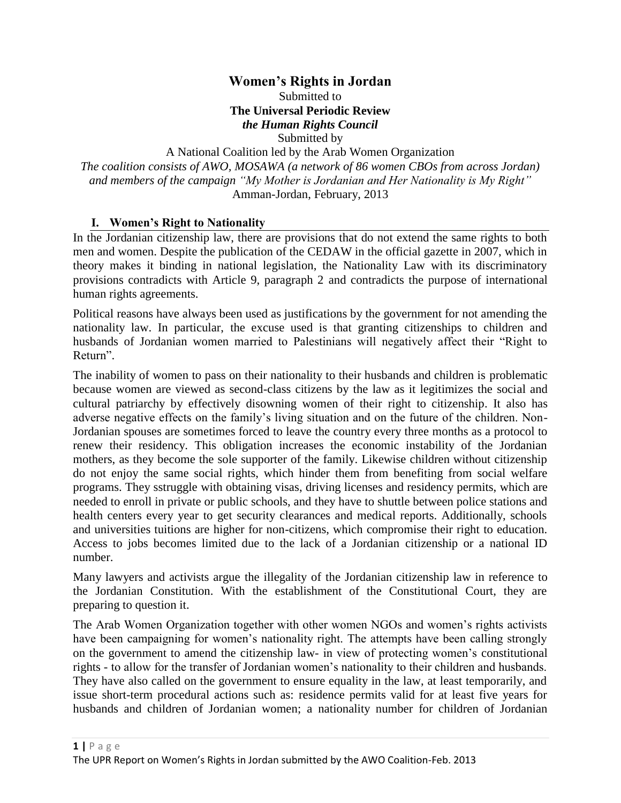# **Women's Rights in Jordan**

Submitted to **The Universal Periodic Review** *the Human Rights Council* Submitted by

A National Coalition led by the Arab Women Organization *The coalition consists of AWO, MOSAWA (a network of 86 women CBOs from across Jordan) and members of the campaign "My Mother is Jordanian and Her Nationality is My Right"* Amman-Jordan, February, 2013

### **I. Women's Right to Nationality**

In the Jordanian citizenship law, there are provisions that do not extend the same rights to both men and women. Despite the publication of the CEDAW in the official gazette in 2007, which in theory makes it binding in national legislation, the Nationality Law with its discriminatory provisions contradicts with Article 9, paragraph 2 and contradicts the purpose of international human rights agreements.

Political reasons have always been used as justifications by the government for not amending the nationality law. In particular, the excuse used is that granting citizenships to children and husbands of Jordanian women married to Palestinians will negatively affect their "Right to Return".

The inability of women to pass on their nationality to their husbands and children is problematic because women are viewed as second-class citizens by the law as it legitimizes the social and cultural patriarchy by effectively disowning women of their right to citizenship. It also has adverse negative effects on the family's living situation and on the future of the children. Non-Jordanian spouses are sometimes forced to leave the country every three months as a protocol to renew their residency. This obligation increases the economic instability of the Jordanian mothers, as they become the sole supporter of the family. Likewise children without citizenship do not enjoy the same social rights, which hinder them from benefiting from social welfare programs. They sstruggle with obtaining visas, driving licenses and residency permits, which are needed to enroll in private or public schools, and they have to shuttle between police stations and health centers every year to get security clearances and medical reports. Additionally, schools and universities tuitions are higher for non-citizens, which compromise their right to education. Access to jobs becomes limited due to the lack of a Jordanian citizenship or a national ID number.

Many lawyers and activists argue the illegality of the Jordanian citizenship law in reference to the Jordanian Constitution. With the establishment of the Constitutional Court, they are preparing to question it.

The Arab Women Organization together with other women NGOs and women's rights activists have been campaigning for women's nationality right. The attempts have been calling strongly on the government to amend the citizenship law- in view of protecting women's constitutional rights - to allow for the transfer of Jordanian women's nationality to their children and husbands. They have also called on the government to ensure equality in the law, at least temporarily, and issue short-term procedural actions such as: residence permits valid for at least five years for husbands and children of Jordanian women; a nationality number for children of Jordanian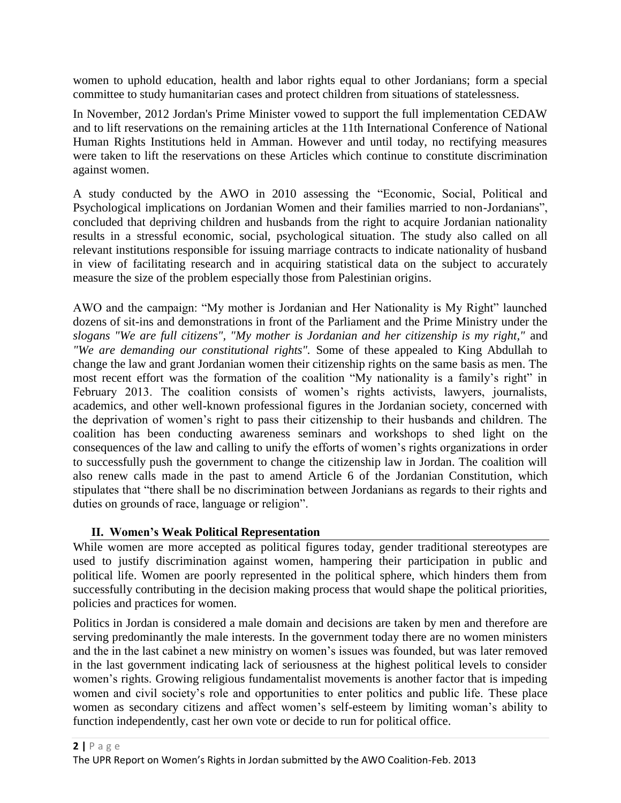women to uphold education, health and labor rights equal to other Jordanians; form a special committee to study humanitarian cases and protect children from situations of statelessness.

In November, 2012 Jordan's Prime Minister vowed to support the full implementation CEDAW and to lift reservations on the remaining articles at the 11th International Conference of National Human Rights Institutions held in Amman. However and until today, no rectifying measures were taken to lift the reservations on these Articles which continue to constitute discrimination against women.

A study conducted by the AWO in 2010 assessing the "Economic, Social, Political and Psychological implications on Jordanian Women and their families married to non-Jordanians", concluded that depriving children and husbands from the right to acquire Jordanian nationality results in a stressful economic, social, psychological situation. The study also called on all relevant institutions responsible for issuing marriage contracts to indicate nationality of husband in view of facilitating research and in acquiring statistical data on the subject to accurately measure the size of the problem especially those from Palestinian origins.

AWO and the campaign: "My mother is Jordanian and Her Nationality is My Right" launched dozens of sit-ins and demonstrations in front of the Parliament and the Prime Ministry under the *slogans "We are full citizens", "My mother is Jordanian and her citizenship is my right,"* and *"We are demanding our constitutional rights".* Some of these appealed to King Abdullah to change the law and grant Jordanian women their citizenship rights on the same basis as men. The most recent effort was the formation of the coalition "My nationality is a family's right" in February 2013. The coalition consists of women's rights activists, lawyers, journalists, academics, and other well-known professional figures in the Jordanian society, concerned with the deprivation of women's right to pass their citizenship to their husbands and children. The coalition has been conducting awareness seminars and workshops to shed light on the consequences of the law and calling to unify the efforts of women's rights organizations in order to successfully push the government to change the citizenship law in Jordan. The coalition will also renew calls made in the past to amend Article 6 of the Jordanian Constitution, which stipulates that "there shall be no discrimination between Jordanians as regards to their rights and duties on grounds of race, language or religion".

### **II. Women's Weak Political Representation**

While women are more accepted as political figures today, gender traditional stereotypes are used to justify discrimination against women, hampering their participation in public and political life. Women are poorly represented in the political sphere, which hinders them from successfully contributing in the decision making process that would shape the political priorities, policies and practices for women.

Politics in Jordan is considered a male domain and decisions are taken by men and therefore are serving predominantly the male interests. In the government today there are no women ministers and the in the last cabinet a new ministry on women's issues was founded, but was later removed in the last government indicating lack of seriousness at the highest political levels to consider women's rights. Growing religious fundamentalist movements is another factor that is impeding women and civil society's role and opportunities to enter politics and public life. These place women as secondary citizens and affect women's self-esteem by limiting woman's ability to function independently, cast her own vote or decide to run for political office.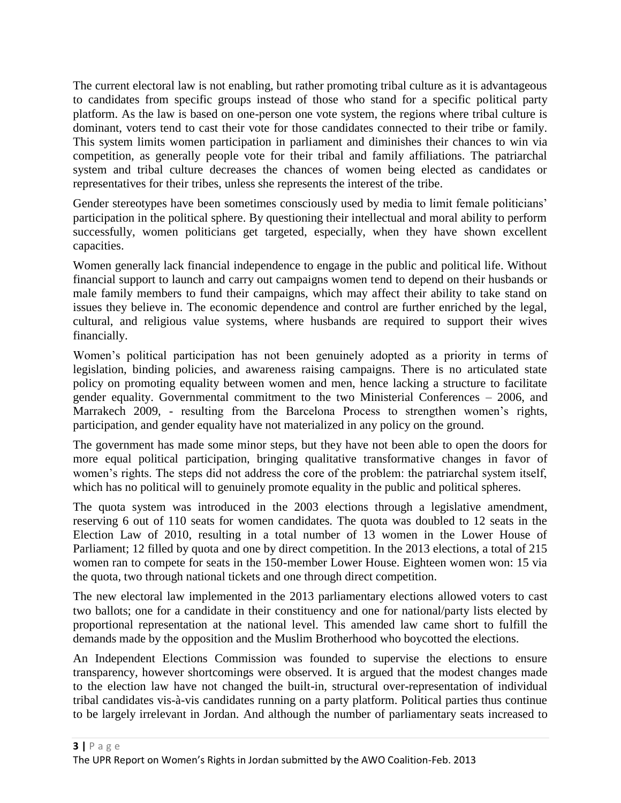The current electoral law is not enabling, but rather promoting tribal culture as it is advantageous to candidates from specific groups instead of those who stand for a specific political party platform. As the law is based on one-person one vote system, the regions where tribal culture is dominant, voters tend to cast their vote for those candidates connected to their tribe or family. This system limits women participation in parliament and diminishes their chances to win via competition, as generally people vote for their tribal and family affiliations. The patriarchal system and tribal culture decreases the chances of women being elected as candidates or representatives for their tribes, unless she represents the interest of the tribe.

Gender stereotypes have been sometimes consciously used by media to limit female politicians' participation in the political sphere. By questioning their intellectual and moral ability to perform successfully, women politicians get targeted, especially, when they have shown excellent capacities.

Women generally lack financial independence to engage in the public and political life. Without financial support to launch and carry out campaigns women tend to depend on their husbands or male family members to fund their campaigns, which may affect their ability to take stand on issues they believe in. The economic dependence and control are further enriched by the legal, cultural, and religious value systems, where husbands are required to support their wives financially.

Women's political participation has not been genuinely adopted as a priority in terms of legislation, binding policies, and awareness raising campaigns. There is no articulated state policy on promoting equality between women and men, hence lacking a structure to facilitate gender equality. Governmental commitment to the two Ministerial Conferences – 2006, and Marrakech 2009, - resulting from the Barcelona Process to strengthen women's rights, participation, and gender equality have not materialized in any policy on the ground.

The government has made some minor steps, but they have not been able to open the doors for more equal political participation, bringing qualitative transformative changes in favor of women's rights. The steps did not address the core of the problem: the patriarchal system itself, which has no political will to genuinely promote equality in the public and political spheres.

The quota system was introduced in the 2003 elections through a legislative amendment, reserving 6 out of 110 seats for women candidates. The quota was doubled to 12 seats in the Election Law of 2010, resulting in a total number of 13 women in the Lower House of Parliament; 12 filled by quota and one by direct competition. In the 2013 elections, a total of 215 women ran to compete for seats in the 150-member Lower House. Eighteen women won: 15 via the quota, two through national tickets and one through direct competition.

The new electoral law implemented in the 2013 parliamentary elections allowed voters to cast two ballots; one for a candidate in their constituency and one for national/party lists elected by proportional representation at the national level. This amended law came short to fulfill the demands made by the opposition and the Muslim Brotherhood who boycotted the elections.

An Independent Elections Commission was founded to supervise the elections to ensure transparency, however shortcomings were observed. It is argued that the modest changes made to the election law have not changed the built-in, structural over-representation of individual tribal candidates vis-à-vis candidates running on a party platform. Political parties thus continue to be largely irrelevant in Jordan. And although the number of parliamentary seats increased to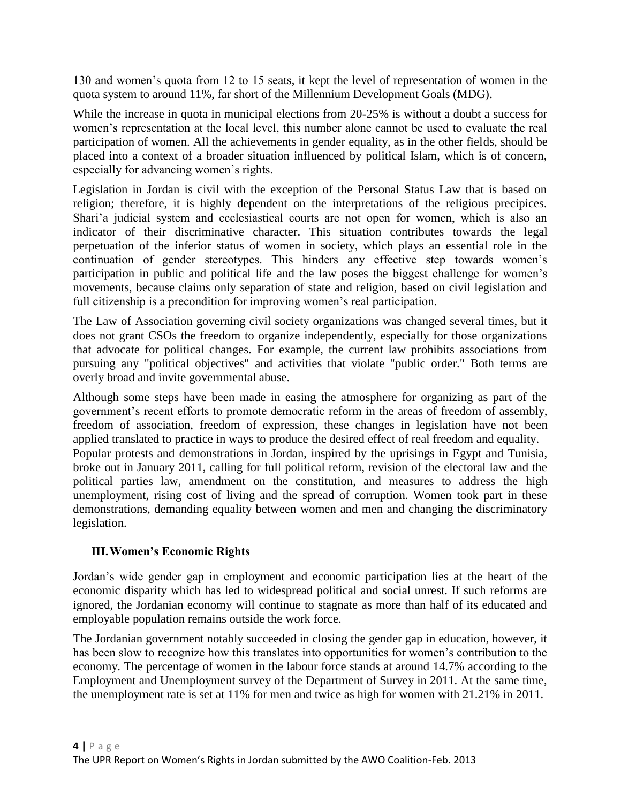130 and women's quota from 12 to 15 seats, it kept the level of representation of women in the quota system to around 11%, far short of the Millennium Development Goals (MDG).

While the increase in quota in municipal elections from 20-25% is without a doubt a success for women's representation at the local level, this number alone cannot be used to evaluate the real participation of women. All the achievements in gender equality, as in the other fields, should be placed into a context of a broader situation influenced by political Islam, which is of concern, especially for advancing women's rights.

Legislation in Jordan is civil with the exception of the Personal Status Law that is based on religion; therefore, it is highly dependent on the interpretations of the religious precipices. Shari'a judicial system and ecclesiastical courts are not open for women, which is also an indicator of their discriminative character. This situation contributes towards the legal perpetuation of the inferior status of women in society, which plays an essential role in the continuation of gender stereotypes. This hinders any effective step towards women's participation in public and political life and the law poses the biggest challenge for women's movements, because claims only separation of state and religion, based on civil legislation and full citizenship is a precondition for improving women's real participation.

The Law of Association governing civil society organizations was changed several times, but it does not grant CSOs the freedom to organize independently, especially for those organizations that advocate for political changes. For example, the current law prohibits associations from pursuing any "political objectives" and activities that violate "public order." Both terms are overly broad and invite governmental abuse.

Although some steps have been made in easing the atmosphere for organizing as part of the government's recent efforts to promote democratic reform in the areas of freedom of assembly, freedom of association, freedom of expression, these changes in legislation have not been applied translated to practice in ways to produce the desired effect of real freedom and equality. Popular protests and demonstrations in Jordan, inspired by the uprisings in Egypt and Tunisia, broke out in January 2011, calling for full political reform, revision of the electoral law and the political parties law, amendment on the constitution, and measures to address the high unemployment, rising cost of living and the spread of corruption. Women took part in these demonstrations, demanding equality between women and men and changing the discriminatory legislation.

### **III.Women's Economic Rights**

Jordan's wide gender gap in employment and economic participation lies at the heart of the economic disparity which has led to widespread political and social unrest. If such reforms are ignored, the Jordanian economy will continue to stagnate as more than half of its educated and employable population remains outside the work force.

The Jordanian government notably succeeded in closing the gender gap in education, however, it has been slow to recognize how this translates into opportunities for women's contribution to the economy. The percentage of women in the labour force stands at around 14.7% according to the Employment and Unemployment survey of the Department of Survey in 2011. At the same time, the unemployment rate is set at 11% for men and twice as high for women with 21.21% in 2011.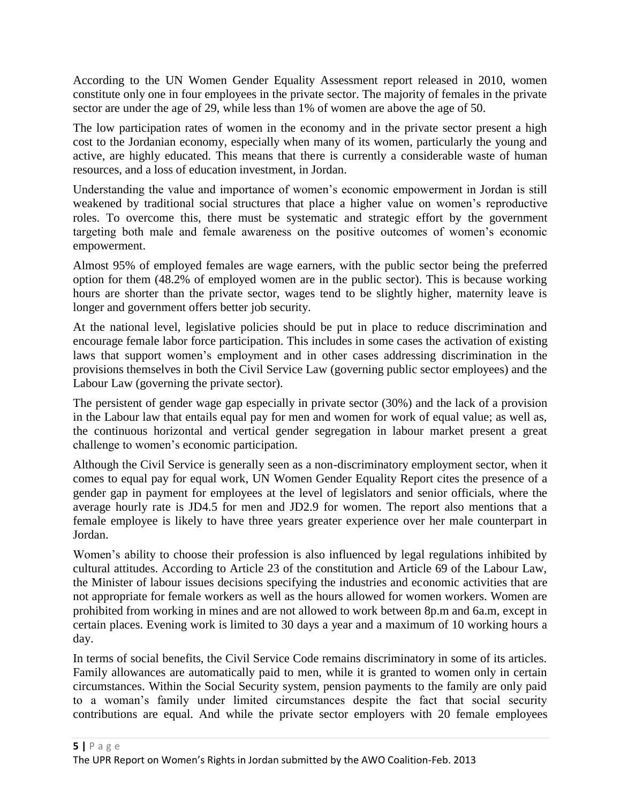According to the UN Women Gender Equality Assessment report released in 2010, women constitute only one in four employees in the private sector. The majority of females in the private sector are under the age of 29, while less than 1% of women are above the age of 50.

The low participation rates of women in the economy and in the private sector present a high cost to the Jordanian economy, especially when many of its women, particularly the young and active, are highly educated. This means that there is currently a considerable waste of human resources, and a loss of education investment, in Jordan.

Understanding the value and importance of women's economic empowerment in Jordan is still weakened by traditional social structures that place a higher value on women's reproductive roles. To overcome this, there must be systematic and strategic effort by the government targeting both male and female awareness on the positive outcomes of women's economic empowerment.

Almost 95% of employed females are wage earners, with the public sector being the preferred option for them (48.2% of employed women are in the public sector). This is because working hours are shorter than the private sector, wages tend to be slightly higher, maternity leave is longer and government offers better job security.

At the national level, legislative policies should be put in place to reduce discrimination and encourage female labor force participation. This includes in some cases the activation of existing laws that support women's employment and in other cases addressing discrimination in the provisions themselves in both the Civil Service Law (governing public sector employees) and the Labour Law (governing the private sector).

The persistent of gender wage gap especially in private sector (30%) and the lack of a provision in the Labour law that entails equal pay for men and women for work of equal value; as well as, the continuous horizontal and vertical gender segregation in labour market present a great challenge to women's economic participation.

Although the Civil Service is generally seen as a non-discriminatory employment sector, when it comes to equal pay for equal work, UN Women Gender Equality Report cites the presence of a gender gap in payment for employees at the level of legislators and senior officials, where the average hourly rate is JD4.5 for men and JD2.9 for women. The report also mentions that a female employee is likely to have three years greater experience over her male counterpart in Jordan.

Women's ability to choose their profession is also influenced by legal regulations inhibited by cultural attitudes. According to Article 23 of the constitution and Article 69 of the Labour Law, the Minister of labour issues decisions specifying the industries and economic activities that are not appropriate for female workers as well as the hours allowed for women workers. Women are prohibited from working in mines and are not allowed to work between 8p.m and 6a.m, except in certain places. Evening work is limited to 30 days a year and a maximum of 10 working hours a day.

In terms of social benefits, the Civil Service Code remains discriminatory in some of its articles. Family allowances are automatically paid to men, while it is granted to women only in certain circumstances. Within the Social Security system, pension payments to the family are only paid to a woman's family under limited circumstances despite the fact that social security contributions are equal. And while the private sector employers with 20 female employees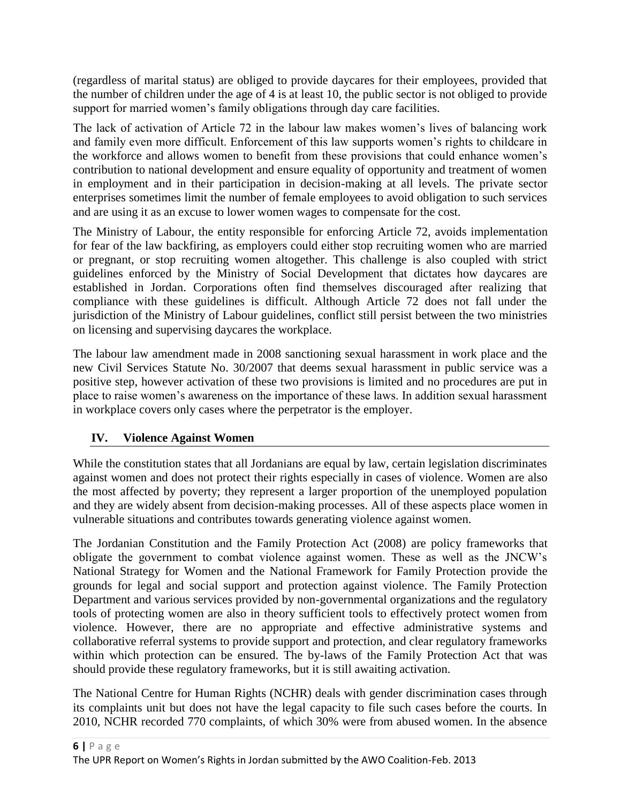(regardless of marital status) are obliged to provide daycares for their employees, provided that the number of children under the age of 4 is at least 10, the public sector is not obliged to provide support for married women's family obligations through day care facilities.

The lack of activation of Article 72 in the labour law makes women's lives of balancing work and family even more difficult. Enforcement of this law supports women's rights to childcare in the workforce and allows women to benefit from these provisions that could enhance women's contribution to national development and ensure equality of opportunity and treatment of women in employment and in their participation in decision-making at all levels. The private sector enterprises sometimes limit the number of female employees to avoid obligation to such services and are using it as an excuse to lower women wages to compensate for the cost.

The Ministry of Labour, the entity responsible for enforcing Article 72, avoids implementation for fear of the law backfiring, as employers could either stop recruiting women who are married or pregnant, or stop recruiting women altogether. This challenge is also coupled with strict guidelines enforced by the Ministry of Social Development that dictates how daycares are established in Jordan. Corporations often find themselves discouraged after realizing that compliance with these guidelines is difficult. Although Article 72 does not fall under the jurisdiction of the Ministry of Labour guidelines, conflict still persist between the two ministries on licensing and supervising daycares the workplace.

The labour law amendment made in 2008 sanctioning sexual harassment in work place and the new Civil Services Statute No. 30/2007 that deems sexual harassment in public service was a positive step, however activation of these two provisions is limited and no procedures are put in place to raise women's awareness on the importance of these laws. In addition sexual harassment in workplace covers only cases where the perpetrator is the employer.

## **IV. Violence Against Women**

While the constitution states that all Jordanians are equal by law, certain legislation discriminates against women and does not protect their rights especially in cases of violence. Women are also the most affected by poverty; they represent a larger proportion of the unemployed population and they are widely absent from decision-making processes. All of these aspects place women in vulnerable situations and contributes towards generating violence against women.

The Jordanian Constitution and the Family Protection Act (2008) are policy frameworks that obligate the government to combat violence against women. These as well as the JNCW's National Strategy for Women and the National Framework for Family Protection provide the grounds for legal and social support and protection against violence. The Family Protection Department and various services provided by non-governmental organizations and the regulatory tools of protecting women are also in theory sufficient tools to effectively protect women from violence. However, there are no appropriate and effective administrative systems and collaborative referral systems to provide support and protection, and clear regulatory frameworks within which protection can be ensured. The by-laws of the Family Protection Act that was should provide these regulatory frameworks, but it is still awaiting activation.

The National Centre for Human Rights (NCHR) deals with gender discrimination cases through its complaints unit but does not have the legal capacity to file such cases before the courts. In 2010, NCHR recorded 770 complaints, of which 30% were from abused women. In the absence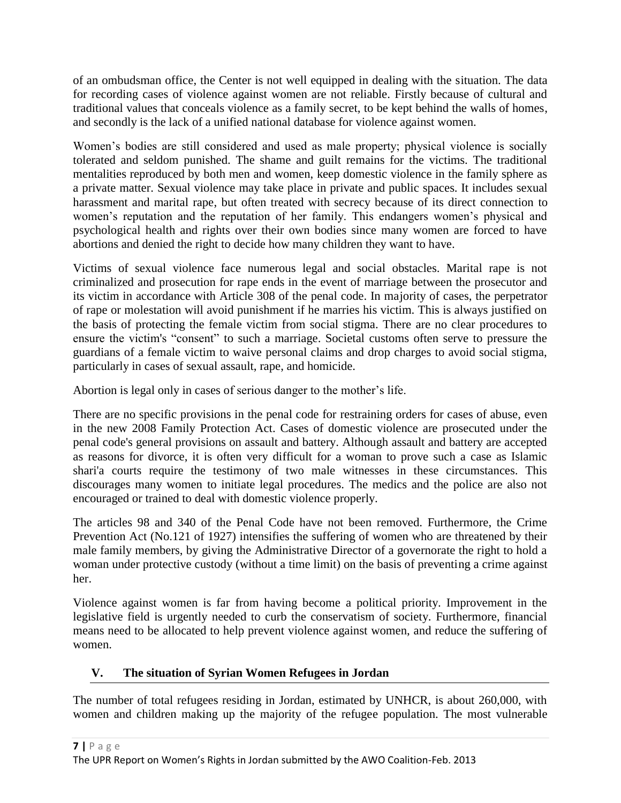of an ombudsman office, the Center is not well equipped in dealing with the situation. The data for recording cases of violence against women are not reliable. Firstly because of cultural and traditional values that conceals violence as a family secret, to be kept behind the walls of homes, and secondly is the lack of a unified national database for violence against women.

Women's bodies are still considered and used as male property; physical violence is socially tolerated and seldom punished. The shame and guilt remains for the victims. The traditional mentalities reproduced by both men and women, keep domestic violence in the family sphere as a private matter. Sexual violence may take place in private and public spaces. It includes sexual harassment and marital rape, but often treated with secrecy because of its direct connection to women's reputation and the reputation of her family. This endangers women's physical and psychological health and rights over their own bodies since many women are forced to have abortions and denied the right to decide how many children they want to have.

Victims of sexual violence face numerous legal and social obstacles. Marital rape is not criminalized and prosecution for rape ends in the event of marriage between the prosecutor and its victim in accordance with Article 308 of the penal code. In majority of cases, the perpetrator of rape or molestation will avoid punishment if he marries his victim. This is always justified on the basis of protecting the female victim from social stigma. There are no clear procedures to ensure the victim's "consent" to such a marriage. Societal customs often serve to pressure the guardians of a female victim to waive personal claims and drop charges to avoid social stigma, particularly in cases of sexual assault, rape, and homicide.

Abortion is legal only in cases of serious danger to the mother's life.

There are no specific provisions in the penal code for restraining orders for cases of abuse, even in the new 2008 Family Protection Act. Cases of domestic violence are prosecuted under the penal code's general provisions on assault and battery. Although assault and battery are accepted as reasons for divorce, it is often very difficult for a woman to prove such a case as Islamic shari'a courts require the testimony of two male witnesses in these circumstances. This discourages many women to initiate legal procedures. The medics and the police are also not encouraged or trained to deal with domestic violence properly.

The articles 98 and 340 of the Penal Code have not been removed. Furthermore, the Crime Prevention Act (No.121 of 1927) intensifies the suffering of women who are threatened by their male family members, by giving the Administrative Director of a governorate the right to hold a woman under protective custody (without a time limit) on the basis of preventing a crime against her.

Violence against women is far from having become a political priority. Improvement in the legislative field is urgently needed to curb the conservatism of society. Furthermore, financial means need to be allocated to help prevent violence against women, and reduce the suffering of women.

## **V. The situation of Syrian Women Refugees in Jordan**

The number of total refugees residing in Jordan, estimated by UNHCR, is about 260,000, with women and children making up the majority of the refugee population. The most vulnerable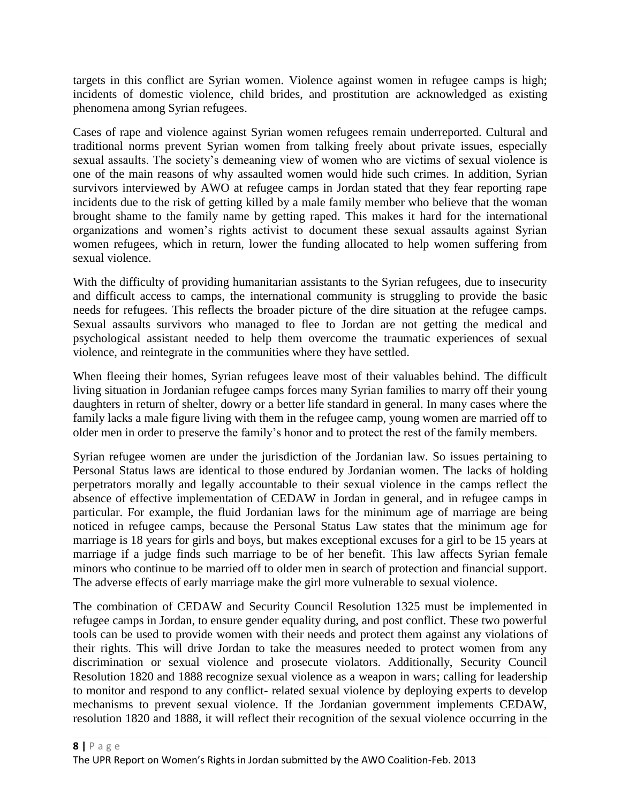targets in this conflict are Syrian women. Violence against women in refugee camps is high; incidents of domestic violence, child brides, and prostitution are acknowledged as existing phenomena among Syrian refugees.

Cases of rape and violence against Syrian women refugees remain underreported. Cultural and traditional norms prevent Syrian women from talking freely about private issues, especially sexual assaults. The society's demeaning view of women who are victims of sexual violence is one of the main reasons of why assaulted women would hide such crimes. In addition, Syrian survivors interviewed by AWO at refugee camps in Jordan stated that they fear reporting rape incidents due to the risk of getting killed by a male family member who believe that the woman brought shame to the family name by getting raped. This makes it hard for the international organizations and women's rights activist to document these sexual assaults against Syrian women refugees, which in return, lower the funding allocated to help women suffering from sexual violence.

With the difficulty of providing humanitarian assistants to the Syrian refugees, due to insecurity and difficult access to camps, the international community is struggling to provide the basic needs for refugees. This reflects the broader picture of the dire situation at the refugee camps. Sexual assaults survivors who managed to flee to Jordan are not getting the medical and psychological assistant needed to help them overcome the traumatic experiences of sexual violence, and reintegrate in the communities where they have settled.

When fleeing their homes, Syrian refugees leave most of their valuables behind. The difficult living situation in Jordanian refugee camps forces many Syrian families to marry off their young daughters in return of shelter, dowry or a better life standard in general. In many cases where the family lacks a male figure living with them in the refugee camp, young women are married off to older men in order to preserve the family's honor and to protect the rest of the family members.

Syrian refugee women are under the jurisdiction of the Jordanian law. So issues pertaining to Personal Status laws are identical to those endured by Jordanian women. The lacks of holding perpetrators morally and legally accountable to their sexual violence in the camps reflect the absence of effective implementation of CEDAW in Jordan in general, and in refugee camps in particular. For example, the fluid Jordanian laws for the minimum age of marriage are being noticed in refugee camps, because the Personal Status Law states that the minimum age for marriage is 18 years for girls and boys, but makes exceptional excuses for a girl to be 15 years at marriage if a judge finds such marriage to be of her benefit. This law affects Syrian female minors who continue to be married off to older men in search of protection and financial support. The adverse effects of early marriage make the girl more vulnerable to sexual violence.

The combination of CEDAW and Security Council Resolution 1325 must be implemented in refugee camps in Jordan, to ensure gender equality during, and post conflict. These two powerful tools can be used to provide women with their needs and protect them against any violations of their rights. This will drive Jordan to take the measures needed to protect women from any discrimination or sexual violence and prosecute violators. Additionally, Security Council Resolution 1820 and 1888 recognize sexual violence as a weapon in wars; calling for leadership to monitor and respond to any conflict- related sexual violence by deploying experts to develop mechanisms to prevent sexual violence. If the Jordanian government implements CEDAW, resolution 1820 and 1888, it will reflect their recognition of the sexual violence occurring in the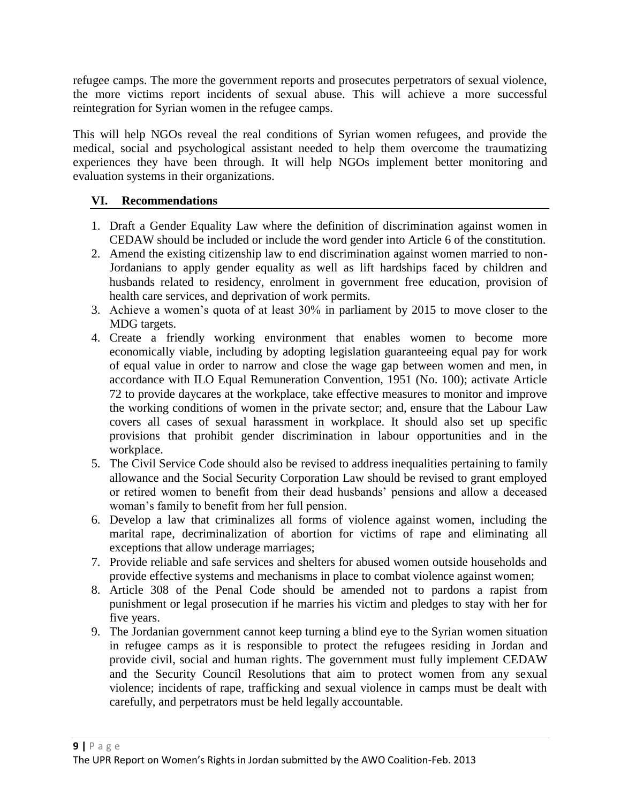refugee camps. The more the government reports and prosecutes perpetrators of sexual violence, the more victims report incidents of sexual abuse. This will achieve a more successful reintegration for Syrian women in the refugee camps.

This will help NGOs reveal the real conditions of Syrian women refugees, and provide the medical, social and psychological assistant needed to help them overcome the traumatizing experiences they have been through. It will help NGOs implement better monitoring and evaluation systems in their organizations.

## **VI. Recommendations**

- 1. Draft a Gender Equality Law where the definition of discrimination against women in CEDAW should be included or include the word gender into Article 6 of the constitution.
- 2. Amend the existing citizenship law to end discrimination against women married to non-Jordanians to apply gender equality as well as lift hardships faced by children and husbands related to residency, enrolment in government free education, provision of health care services, and deprivation of work permits.
- 3. Achieve a women's quota of at least 30% in parliament by 2015 to move closer to the MDG targets.
- 4. Create a friendly working environment that enables women to become more economically viable, including by adopting legislation guaranteeing equal pay for work of equal value in order to narrow and close the wage gap between women and men, in accordance with ILO Equal Remuneration Convention, 1951 (No. 100); activate Article 72 to provide daycares at the workplace, take effective measures to monitor and improve the working conditions of women in the private sector; and, ensure that the Labour Law covers all cases of sexual harassment in workplace. It should also set up specific provisions that prohibit gender discrimination in labour opportunities and in the workplace.
- 5. The Civil Service Code should also be revised to address inequalities pertaining to family allowance and the Social Security Corporation Law should be revised to grant employed or retired women to benefit from their dead husbands' pensions and allow a deceased woman's family to benefit from her full pension.
- 6. Develop a law that criminalizes all forms of violence against women, including the marital rape, decriminalization of abortion for victims of rape and eliminating all exceptions that allow underage marriages;
- 7. Provide reliable and safe services and shelters for abused women outside households and provide effective systems and mechanisms in place to combat violence against women;
- 8. Article 308 of the Penal Code should be amended not to pardons a rapist from punishment or legal prosecution if he marries his victim and pledges to stay with her for five years.
- 9. The Jordanian government cannot keep turning a blind eye to the Syrian women situation in refugee camps as it is responsible to protect the refugees residing in Jordan and provide civil, social and human rights. The government must fully implement CEDAW and the Security Council Resolutions that aim to protect women from any sexual violence; incidents of rape, trafficking and sexual violence in camps must be dealt with carefully, and perpetrators must be held legally accountable.